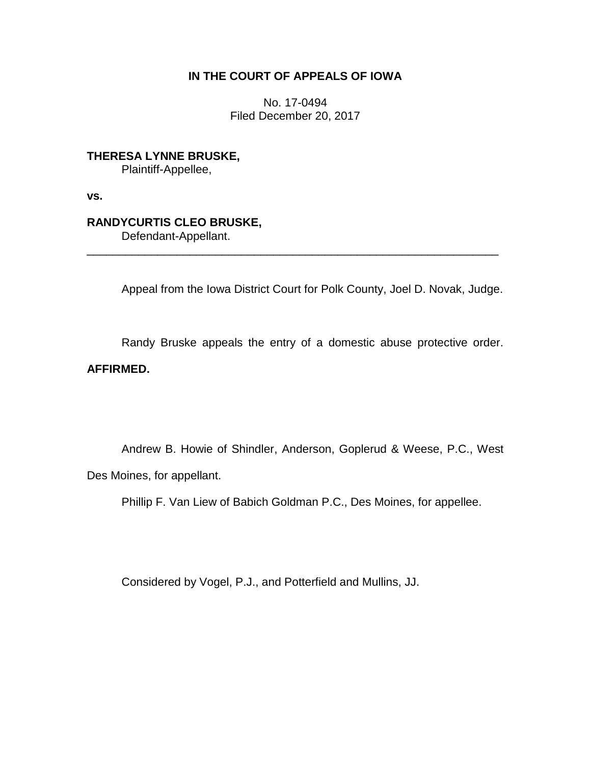## **IN THE COURT OF APPEALS OF IOWA**

No. 17-0494 Filed December 20, 2017

**THERESA LYNNE BRUSKE,** Plaintiff-Appellee,

**vs.**

# **RANDYCURTIS CLEO BRUSKE,**

Defendant-Appellant.

Appeal from the Iowa District Court for Polk County, Joel D. Novak, Judge.

\_\_\_\_\_\_\_\_\_\_\_\_\_\_\_\_\_\_\_\_\_\_\_\_\_\_\_\_\_\_\_\_\_\_\_\_\_\_\_\_\_\_\_\_\_\_\_\_\_\_\_\_\_\_\_\_\_\_\_\_\_\_\_\_

Randy Bruske appeals the entry of a domestic abuse protective order.

# **AFFIRMED.**

Andrew B. Howie of Shindler, Anderson, Goplerud & Weese, P.C., West Des Moines, for appellant.

Phillip F. Van Liew of Babich Goldman P.C., Des Moines, for appellee.

Considered by Vogel, P.J., and Potterfield and Mullins, JJ.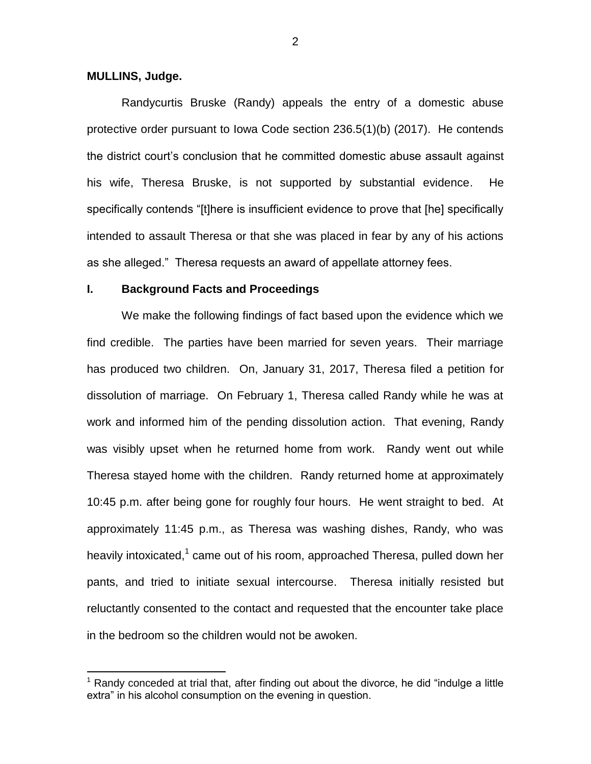### **MULLINS, Judge.**

 $\overline{a}$ 

Randycurtis Bruske (Randy) appeals the entry of a domestic abuse protective order pursuant to Iowa Code section 236.5(1)(b) (2017). He contends the district court's conclusion that he committed domestic abuse assault against his wife, Theresa Bruske, is not supported by substantial evidence. He specifically contends "[t]here is insufficient evidence to prove that [he] specifically intended to assault Theresa or that she was placed in fear by any of his actions as she alleged." Theresa requests an award of appellate attorney fees.

### **I. Background Facts and Proceedings**

We make the following findings of fact based upon the evidence which we find credible. The parties have been married for seven years. Their marriage has produced two children. On, January 31, 2017, Theresa filed a petition for dissolution of marriage. On February 1, Theresa called Randy while he was at work and informed him of the pending dissolution action. That evening, Randy was visibly upset when he returned home from work. Randy went out while Theresa stayed home with the children. Randy returned home at approximately 10:45 p.m. after being gone for roughly four hours. He went straight to bed. At approximately 11:45 p.m., as Theresa was washing dishes, Randy, who was heavily intoxicated,<sup>1</sup> came out of his room, approached Theresa, pulled down her pants, and tried to initiate sexual intercourse. Theresa initially resisted but reluctantly consented to the contact and requested that the encounter take place in the bedroom so the children would not be awoken.

Randy conceded at trial that, after finding out about the divorce, he did "indulge a little extra" in his alcohol consumption on the evening in question.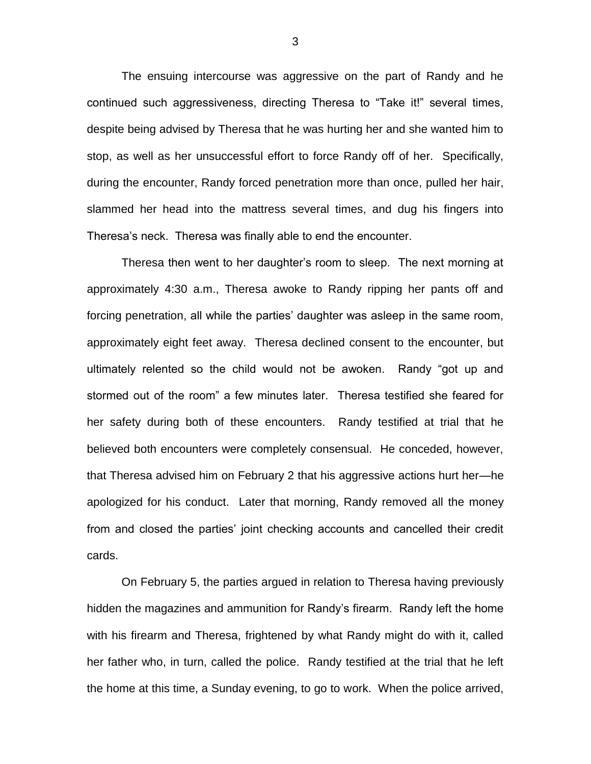The ensuing intercourse was aggressive on the part of Randy and he continued such aggressiveness, directing Theresa to "Take it!" several times, despite being advised by Theresa that he was hurting her and she wanted him to stop, as well as her unsuccessful effort to force Randy off of her. Specifically, during the encounter, Randy forced penetration more than once, pulled her hair, slammed her head into the mattress several times, and dug his fingers into Theresa's neck. Theresa was finally able to end the encounter.

Theresa then went to her daughter's room to sleep. The next morning at approximately 4:30 a.m., Theresa awoke to Randy ripping her pants off and forcing penetration, all while the parties' daughter was asleep in the same room, approximately eight feet away. Theresa declined consent to the encounter, but ultimately relented so the child would not be awoken. Randy "got up and stormed out of the room" a few minutes later. Theresa testified she feared for her safety during both of these encounters. Randy testified at trial that he believed both encounters were completely consensual. He conceded, however, that Theresa advised him on February 2 that his aggressive actions hurt her—he apologized for his conduct. Later that morning, Randy removed all the money from and closed the parties' joint checking accounts and cancelled their credit cards.

On February 5, the parties argued in relation to Theresa having previously hidden the magazines and ammunition for Randy's firearm. Randy left the home with his firearm and Theresa, frightened by what Randy might do with it, called her father who, in turn, called the police. Randy testified at the trial that he left the home at this time, a Sunday evening, to go to work. When the police arrived,

3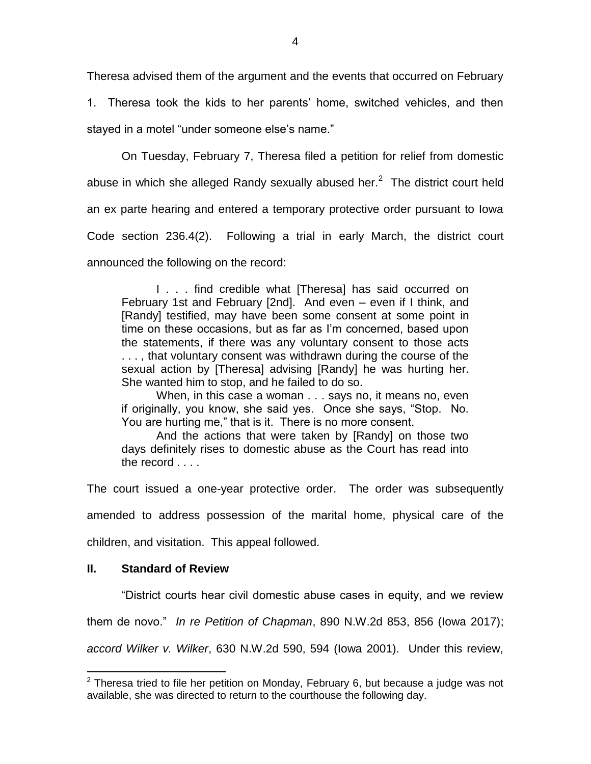Theresa advised them of the argument and the events that occurred on February

1. Theresa took the kids to her parents' home, switched vehicles, and then stayed in a motel "under someone else's name."

On Tuesday, February 7, Theresa filed a petition for relief from domestic abuse in which she alleged Randy sexually abused her.<sup>2</sup> The district court held an ex parte hearing and entered a temporary protective order pursuant to Iowa Code section 236.4(2). Following a trial in early March, the district court announced the following on the record:

I . . . find credible what [Theresa] has said occurred on February 1st and February [2nd]. And even – even if I think, and [Randy] testified, may have been some consent at some point in time on these occasions, but as far as I'm concerned, based upon the statements, if there was any voluntary consent to those acts . . . , that voluntary consent was withdrawn during the course of the sexual action by [Theresa] advising [Randy] he was hurting her. She wanted him to stop, and he failed to do so.

When, in this case a woman . . . says no, it means no, even if originally, you know, she said yes. Once she says, "Stop. No. You are hurting me," that is it. There is no more consent.

And the actions that were taken by [Randy] on those two days definitely rises to domestic abuse as the Court has read into the record . . . .

The court issued a one-year protective order. The order was subsequently amended to address possession of the marital home, physical care of the

children, and visitation. This appeal followed.

## **II. Standard of Review**

 $\overline{a}$ 

"District courts hear civil domestic abuse cases in equity, and we review

them de novo." *In re Petition of Chapman*, 890 N.W.2d 853, 856 (Iowa 2017);

*accord Wilker v. Wilker*, 630 N.W.2d 590, 594 (Iowa 2001). Under this review,

 $2$  Theresa tried to file her petition on Monday, February 6, but because a judge was not available, she was directed to return to the courthouse the following day.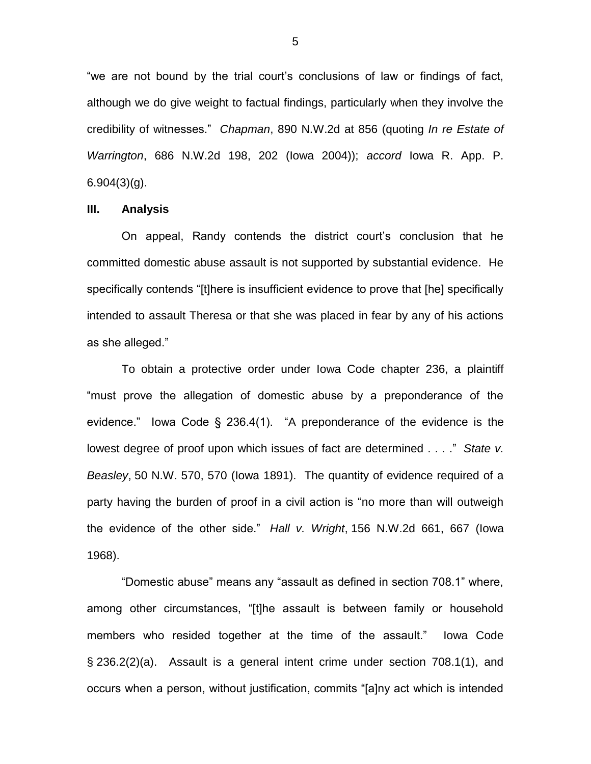"we are not bound by the trial court's conclusions of law or findings of fact, although we do give weight to factual findings, particularly when they involve the credibility of witnesses." *Chapman*, 890 N.W.2d at 856 (quoting *In re Estate of Warrington*, 686 N.W.2d 198, 202 (Iowa 2004)); *accord* Iowa R. App. P.  $6.904(3)(q)$ .

#### **III. Analysis**

On appeal, Randy contends the district court's conclusion that he committed domestic abuse assault is not supported by substantial evidence. He specifically contends "[t]here is insufficient evidence to prove that [he] specifically intended to assault Theresa or that she was placed in fear by any of his actions as she alleged."

To obtain a protective order under Iowa Code chapter 236, a plaintiff "must prove the allegation of domestic abuse by a preponderance of the evidence." Iowa Code § 236.4(1). "A preponderance of the evidence is the lowest degree of proof upon which issues of fact are determined . . . ." *State v. Beasley*, 50 N.W. 570, 570 (Iowa 1891). The quantity of evidence required of a party having the burden of proof in a civil action is "no more than will outweigh the evidence of the other side." *Hall v. Wright*, 156 N.W.2d 661, 667 (Iowa 1968).

"Domestic abuse" means any "assault as defined in section 708.1" where, among other circumstances, "[t]he assault is between family or household members who resided together at the time of the assault." Iowa Code § 236.2(2)(a). Assault is a general intent crime under section 708.1(1), and occurs when a person, without justification, commits "[a]ny act which is intended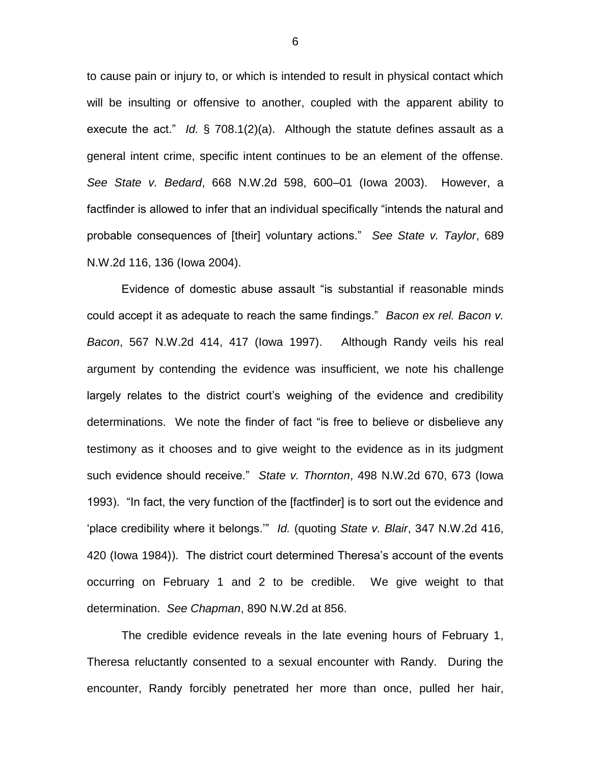to cause pain or injury to, or which is intended to result in physical contact which will be insulting or offensive to another, coupled with the apparent ability to execute the act." *Id.* § 708.1(2)(a). Although the statute defines assault as a general intent crime, specific intent continues to be an element of the offense. *See State v. Bedard*, 668 N.W.2d 598, 600–01 (Iowa 2003). However, a factfinder is allowed to infer that an individual specifically "intends the natural and probable consequences of [their] voluntary actions." *See State v. Taylor*, 689 N.W.2d 116, 136 (Iowa 2004).

Evidence of domestic abuse assault "is substantial if reasonable minds could accept it as adequate to reach the same findings." *Bacon ex rel. Bacon v. Bacon*, 567 N.W.2d 414, 417 (Iowa 1997). Although Randy veils his real argument by contending the evidence was insufficient, we note his challenge largely relates to the district court's weighing of the evidence and credibility determinations. We note the finder of fact "is free to believe or disbelieve any testimony as it chooses and to give weight to the evidence as in its judgment such evidence should receive." *State v. Thornton*, 498 N.W.2d 670, 673 (Iowa 1993). "In fact, the very function of the [factfinder] is to sort out the evidence and 'place credibility where it belongs.'" *Id.* (quoting *State v. Blair*, 347 N.W.2d 416, 420 (Iowa 1984)). The district court determined Theresa's account of the events occurring on February 1 and 2 to be credible. We give weight to that determination. *See Chapman*, 890 N.W.2d at 856.

The credible evidence reveals in the late evening hours of February 1, Theresa reluctantly consented to a sexual encounter with Randy. During the encounter, Randy forcibly penetrated her more than once, pulled her hair,

6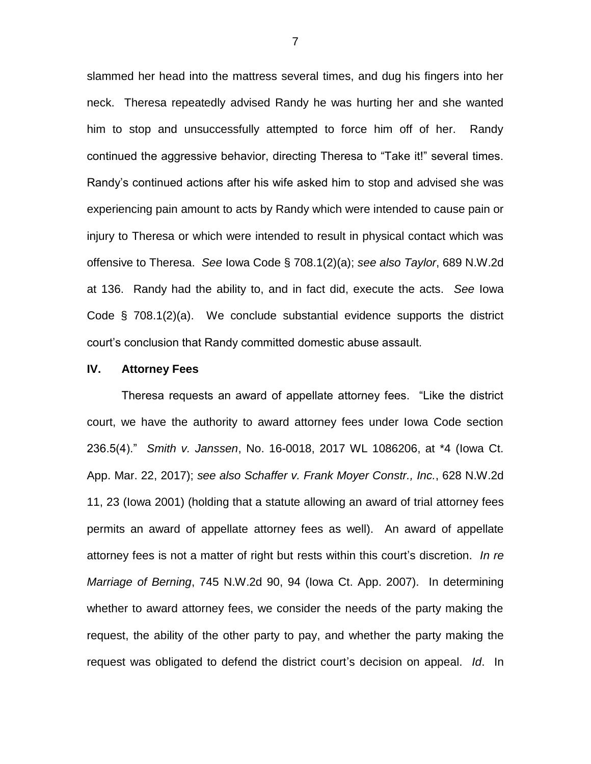slammed her head into the mattress several times, and dug his fingers into her neck. Theresa repeatedly advised Randy he was hurting her and she wanted him to stop and unsuccessfully attempted to force him off of her. Randy continued the aggressive behavior, directing Theresa to "Take it!" several times. Randy's continued actions after his wife asked him to stop and advised she was experiencing pain amount to acts by Randy which were intended to cause pain or injury to Theresa or which were intended to result in physical contact which was offensive to Theresa. *See* Iowa Code § 708.1(2)(a); *see also Taylor*, 689 N.W.2d at 136. Randy had the ability to, and in fact did, execute the acts. *See* Iowa Code § 708.1(2)(a). We conclude substantial evidence supports the district court's conclusion that Randy committed domestic abuse assault.

#### **IV. Attorney Fees**

Theresa requests an award of appellate attorney fees. "Like the district court, we have the authority to award attorney fees under Iowa Code section 236.5(4)." *Smith v. Janssen*, No. 16-0018, 2017 WL 1086206, at \*4 (Iowa Ct. App. Mar. 22, 2017); *see also Schaffer v. Frank Moyer Constr., Inc.*, 628 N.W.2d 11, 23 (Iowa 2001) (holding that a statute allowing an award of trial attorney fees permits an award of appellate attorney fees as well). An award of appellate attorney fees is not a matter of right but rests within this court's discretion. *In re Marriage of Berning*, 745 N.W.2d 90, 94 (Iowa Ct. App. 2007). In determining whether to award attorney fees, we consider the needs of the party making the request, the ability of the other party to pay, and whether the party making the request was obligated to defend the district court's decision on appeal. *Id*. In